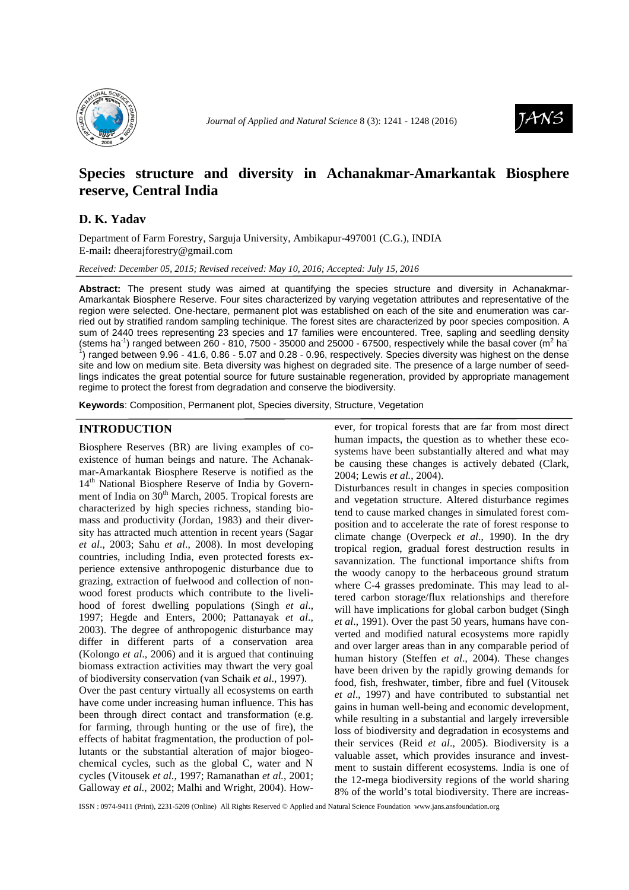



# **Species structure and diversity in Achanakmar-Amarkantak Biosphere reserve, Central India**

## **D. K. Yadav**

Department of Farm Forestry, Sarguja University, Ambikapur-497001 (C.G.), INDIA E-mail**:** dheerajforestry@gmail.com

*Received: December 05, 2015; Revised received: May 10, 2016; Accepted: July 15, 2016*

**Abstract:** The present study was aimed at quantifying the species structure and diversity in Achanakmar-Amarkantak Biosphere Reserve. Four sites characterized by varying vegetation attributes and representative of the region were selected. One-hectare, permanent plot was established on each of the site and enumeration was carried out by stratified random sampling techinique. The forest sites are characterized by poor species composition. A sum of 2440 trees representing 23 species and 17 families were encountered. Tree, sapling and seedling density (stems ha<sup>-1</sup>) ranged between 260 - 810, 7500 - 35000 and 25000 - 67500, respectively while the basal cover (m<sup>2</sup> ha<sup>-</sup> 1 ) ranged between 9.96 - 41.6, 0.86 - 5.07 and 0.28 - 0.96, respectively. Species diversity was highest on the dense site and low on medium site. Beta diversity was highest on degraded site. The presence of a large number of seedlings indicates the great potential source for future sustainable regeneration, provided by appropriate management regime to protect the forest from degradation and conserve the biodiversity.

**Keywords**: Composition, Permanent plot, Species diversity, Structure, Vegetation

### **INTRODUCTION**

Biosphere Reserves (BR) are living examples of coexistence of human beings and nature. The Achanakmar-Amarkantak Biosphere Reserve is notified as the 14<sup>th</sup> National Biosphere Reserve of India by Government of India on  $30<sup>th</sup>$  March, 2005. Tropical forests are characterized by high species richness, standing biomass and productivity (Jordan, 1983) and their diversity has attracted much attention in recent years (Sagar *et al*., 2003; Sahu *et al*., 2008). In most developing countries, including India, even protected forests experience extensive anthropogenic disturbance due to grazing, extraction of fuelwood and collection of nonwood forest products which contribute to the livelihood of forest dwelling populations (Singh *et al*., 1997; Hegde and Enters, 2000; Pattanayak *et al*., 2003). The degree of anthropogenic disturbance may differ in different parts of a conservation area (Kolongo *et al*., 2006) and it is argued that continuing biomass extraction activities may thwart the very goal of biodiversity conservation (van Schaik *et al*., 1997).

Over the past century virtually all ecosystems on earth have come under increasing human influence. This has been through direct contact and transformation (e.g. for farming, through hunting or the use of fire), the effects of habitat fragmentation, the production of pollutants or the substantial alteration of major biogeochemical cycles, such as the global C, water and N cycles (Vitousek *et al.*, 1997; Ramanathan *et al.*, 2001; Galloway *et al.*, 2002; Malhi and Wright, 2004). However, for tropical forests that are far from most direct human impacts, the question as to whether these ecosystems have been substantially altered and what may be causing these changes is actively debated (Clark, 2004; Lewis *et al.*, 2004).

Disturbances result in changes in species composition and vegetation structure. Altered disturbance regimes tend to cause marked changes in simulated forest composition and to accelerate the rate of forest response to climate change (Overpeck *et al*., 1990). In the dry tropical region, gradual forest destruction results in savannization. The functional importance shifts from the woody canopy to the herbaceous ground stratum where C-4 grasses predominate. This may lead to altered carbon storage/flux relationships and therefore will have implications for global carbon budget (Singh) *et al*., 1991). Over the past 50 years, humans have converted and modified natural ecosystems more rapidly and over larger areas than in any comparable period of human history (Steffen *et al*., 2004). These changes have been driven by the rapidly growing demands for food, fish, freshwater, timber, fibre and fuel (Vitousek *et al*., 1997) and have contributed to substantial net gains in human well-being and economic development, while resulting in a substantial and largely irreversible loss of biodiversity and degradation in ecosystems and their services (Reid *et al*., 2005). Biodiversity is a valuable asset, which provides insurance and investment to sustain different ecosystems. India is one of the 12-mega biodiversity regions of the world sharing 8% of the world's total biodiversity. There are increas-

ISSN : 0974-9411 (Print), 2231-5209 (Online) All Rights Reserved © Applied and Natural Science Foundation www.jans.ansfoundation.org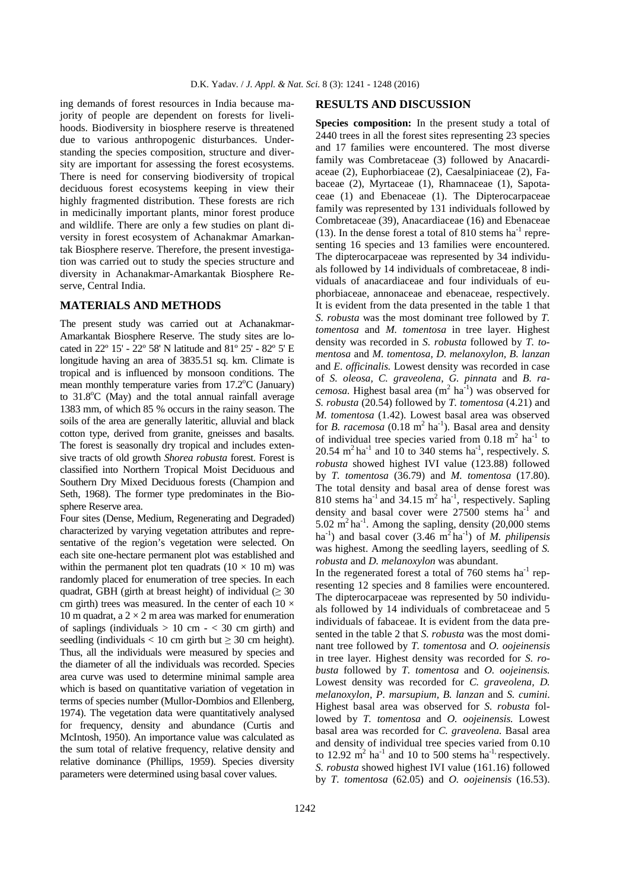ing demands of forest resources in India because majority of people are dependent on forests for livelihoods. Biodiversity in biosphere reserve is threatened due to various anthropogenic disturbances. Understanding the species composition, structure and diversity are important for assessing the forest ecosystems. There is need for conserving biodiversity of tropical deciduous forest ecosystems keeping in view their highly fragmented distribution. These forests are rich in medicinally important plants, minor forest produce and wildlife. There are only a few studies on plant diversity in forest ecosystem of Achanakmar Amarkantak Biosphere reserve. Therefore, the present investigation was carried out to study the species structure and diversity in Achanakmar-Amarkantak Biosphere Reserve, Central India.

#### **MATERIALS AND METHODS**

The present study was carried out at Achanakmar-Amarkantak Biosphere Reserve. The study sites are located in 22º 15' - 22º 58' N latitude and 81º 25' - 82º 5' E longitude having an area of 3835.51 sq. km. Climate is tropical and is influenced by monsoon conditions. The mean monthly temperature varies from  $17.2^{\circ}$ C (January) to  $31.8^{\circ}$ C (May) and the total annual rainfall average 1383 mm, of which 85 % occurs in the rainy season. The soils of the area are generally lateritic, alluvial and black cotton type, derived from granite, gneisses and basalts. The forest is seasonally dry tropical and includes extensive tracts of old growth *Shorea robusta* forest. Forest is classified into Northern Tropical Moist Deciduous and Southern Dry Mixed Deciduous forests (Champion and Seth, 1968). The former type predominates in the Biosphere Reserve area.

Four sites (Dense, Medium, Regenerating and Degraded) characterized by varying vegetation attributes and representative of the region's vegetation were selected. On each site one-hectare permanent plot was established and within the permanent plot ten quadrats  $(10 \times 10 \text{ m})$  was randomly placed for enumeration of tree species. In each quadrat, GBH (girth at breast height) of individual ( $\geq$  30 cm girth) trees was measured. In the center of each  $10 \times$ 10 m quadrat, a  $2 \times 2$  m area was marked for enumeration of saplings (individuals  $> 10$  cm  $- < 30$  cm girth) and seedling (individuals < 10 cm girth but  $\geq$  30 cm height). Thus, all the individuals were measured by species and the diameter of all the individuals was recorded. Species area curve was used to determine minimal sample area which is based on quantitative variation of vegetation in terms of species number (Mullor-Dombios and Ellenberg, 1974). The vegetation data were quantitatively analysed for frequency, density and abundance (Curtis and McIntosh, 1950). An importance value was calculated as the sum total of relative frequency, relative density and relative dominance (Phillips, 1959). Species diversity parameters were determined using basal cover values.

#### **RESULTS AND DISCUSSION**

**Species composition:** In the present study a total of 2440 trees in all the forest sites representing 23 species and 17 families were encountered. The most diverse family was Combretaceae (3) followed by Anacardiaceae (2), Euphorbiaceae (2), Caesalpiniaceae (2), Fabaceae (2), Myrtaceae (1), Rhamnaceae (1), Sapotaceae (1) and Ebenaceae (1). The Dipterocarpaceae family was represented by 131 individuals followed by Combretaceae (39), Anacardiaceae (16) and Ebenaceae  $(13)$ . In the dense forest a total of 810 stems ha<sup>-1</sup> representing 16 species and 13 families were encountered. The dipterocarpaceae was represented by 34 individuals followed by 14 individuals of combretaceae, 8 individuals of anacardiaceae and four individuals of euphorbiaceae, annonaceae and ebenaceae, respectively. It is evident from the data presented in the table 1 that *S. robusta* was the most dominant tree followed by *T. tomentosa* and *M. tomentosa* in tree layer*.* Highest density was recorded in *S. robusta* followed by *T. tomentosa* and *M. tomentosa, D. melanoxylon, B. lanzan*  and *E. officinalis.* Lowest density was recorded in case of *S. oleosa, C. graveolena*, *G. pinnata* and *B. racemosa*. Highest basal area  $(m^2 \text{ ha}^{-1})$  was observed for *S. robusta* (20.54) followed by *T. tomentosa* (4.21) and *M. tomentosa* (1.42). Lowest basal area was observed for *B. racemosa* (0.18  $m^2$  ha<sup>-1</sup>). Basal area and density of individual tree species varied from  $0.18 \text{ m}^2$  ha<sup>-1</sup> to  $20.54 \text{ m}^2$  ha<sup>-1</sup> and 10 to 340 stems ha<sup>-1</sup>, respectively. *S*. *robusta* showed highest IVI value (123.88) followed by *T. tomentosa* (36.79) and *M. tomentosa* (17.80). The total density and basal area of dense forest was 810 stems ha<sup>-1</sup> and 34.15 m<sup>2</sup> ha<sup>-1</sup>, respectively. Sapling density and basal cover were  $27500$  stems ha<sup>-1</sup> and 5.02 m<sup>2</sup> ha<sup>-1</sup>. Among the sapling, density  $(20,000)$  stems ha<sup>-1</sup>) and basal cover  $(3.46 \text{ m}^2 \text{ ha}^{-1})$  of *M. philipensis* was highest. Among the seedling layers, seedling of *S. robusta* and *D. melanoxylon* was abundant.

In the regenerated forest a total of  $760$  stems ha<sup>-1</sup> representing 12 species and 8 families were encountered. The dipterocarpaceae was represented by 50 individuals followed by 14 individuals of combretaceae and 5 individuals of fabaceae. It is evident from the data presented in the table 2 that *S. robusta* was the most dominant tree followed by *T. tomentosa* and *O. oojeinensis* in tree layer*.* Highest density was recorded for *S. robusta* followed by *T. tomentosa* and *O. oojeinensis.* Lowest density was recorded for *C. graveolena, D. melanoxylon, P. marsupium, B. lanzan* and *S. cumini*. Highest basal area was observed for *S. robusta* followed by *T. tomentosa* and *O. oojeinensis.* Lowest basal area was recorded for *C. graveolena.* Basal area and density of individual tree species varied from 0.10 to 12.92  $\text{m}^2$  ha<sup>-1</sup> and 10 to 500 stems ha<sup>-1</sup> respectively. *S. robusta* showed highest IVI value (161.16) followed by *T. tomentosa* (62.05) and *O. oojeinensis* (16.53).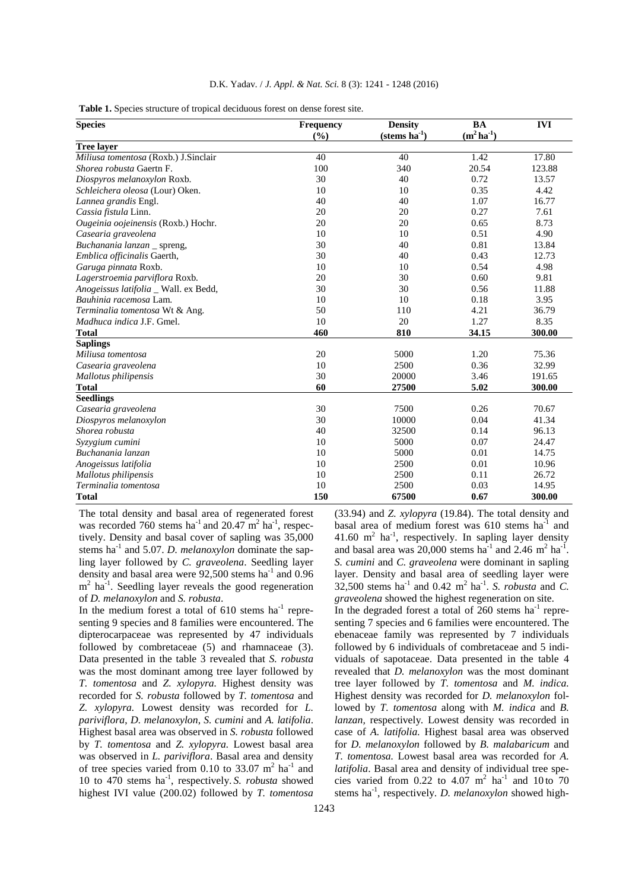|  |  |  |  |  |  |  | D.K. Yadav. / <i>J. Appl. &amp; Nat. Sci.</i> 8 (3): 1241 - 1248 (2016) |
|--|--|--|--|--|--|--|-------------------------------------------------------------------------|
|--|--|--|--|--|--|--|-------------------------------------------------------------------------|

**Table 1.** Species structure of tropical deciduous forest on dense forest site.

| <b>Species</b>                        | Frequency | <b>Density</b>           | <b>BA</b>          | <b>IVI</b> |  |
|---------------------------------------|-----------|--------------------------|--------------------|------------|--|
|                                       | (%)       | $(\text{stems ha}^{-1})$ | $(m^2 \, ha^{-1})$ |            |  |
| <b>Tree layer</b>                     |           |                          |                    |            |  |
| Miliusa tomentosa (Roxb.) J.Sinclair  | 40        | 40                       | 1.42               | 17.80      |  |
| Shorea robusta Gaertn F.              | 100       | 340                      | 20.54              | 123.88     |  |
| Diospyros melanoxylon Roxb.           | 30        | 40                       | 0.72               | 13.57      |  |
| Schleichera oleosa (Lour) Oken.       | 10        | 10                       | 0.35               | 4.42       |  |
| Lannea grandis Engl.                  | 40        | 40                       | 1.07               | 16.77      |  |
| Cassia fistula Linn.                  | 20        | 20                       | 0.27               | 7.61       |  |
| Ougeinia oojeinensis (Roxb.) Hochr.   | 20        | 20                       | 0.65               | 8.73       |  |
| Casearia graveolena                   | 10        | 10                       | 0.51               | 4.90       |  |
| Buchanania lanzan _ spreng,           | 30        | 40                       | 0.81               | 13.84      |  |
| Emblica officinalis Gaerth,           | 30        | 40                       | 0.43               | 12.73      |  |
| Garuga pinnata Roxb.                  | 10        | 10                       | 0.54               | 4.98       |  |
| Lagerstroemia parviflora Roxb.        | 20        | 30                       | 0.60               | 9.81       |  |
| Anogeissus latifolia _ Wall. ex Bedd, | 30        | 30                       | 0.56               | 11.88      |  |
| Bauhinia racemosa Lam.                | 10        | 10                       | 0.18               | 3.95       |  |
| Terminalia tomentosa Wt & Ang.        | 50        | 110                      | 4.21               | 36.79      |  |
| <i>Madhuca indica J.F. Gmel.</i>      | 10        | 20                       | 1.27               | 8.35       |  |
| <b>Total</b>                          | 460       | 810                      | 34.15              | 300.00     |  |
| <b>Saplings</b>                       |           |                          |                    |            |  |
| Miliusa tomentosa                     | 20        | 5000                     | 1.20               | 75.36      |  |
| Casearia graveolena                   | 10        | 2500                     | 0.36               | 32.99      |  |
| Mallotus philipensis                  | 30        | 20000                    | 3.46               | 191.65     |  |
| <b>Total</b>                          | 60        | 27500                    | 5.02               | 300.00     |  |
| <b>Seedlings</b>                      |           |                          |                    |            |  |
| Casearia graveolena                   | 30        | 7500                     | 0.26               | 70.67      |  |
| Diospyros melanoxylon                 | 30        | 10000                    | 0.04               | 41.34      |  |
| Shorea robusta                        | 40        | 32500                    | 0.14               | 96.13      |  |
| Syzygium cumini                       | 10        | 5000                     | 0.07               | 24.47      |  |
| Buchanania lanzan                     | 10        | 5000                     | 0.01               | 14.75      |  |
| Anogeissus latifolia                  | 10        | 2500                     | 0.01               | 10.96      |  |
| Mallotus philipensis                  | 10        | 2500                     | 0.11               | 26.72      |  |
| Terminalia tomentosa                  | 10        | 2500                     | 0.03               | 14.95      |  |
| <b>Total</b>                          | 150       | 67500                    | 0.67               | 300.00     |  |

The total density and basal area of regenerated forest was recorded 760 stems  $ha^{-1}$  and 20.47  $m^2$   $ha^{-1}$ , respectively. Density and basal cover of sapling was 35,000 stems ha<sup>-1</sup> and 5.07. *D. melanoxylon* dominate the sapling layer followed by *C. graveolena*. Seedling layer density and basal area were 92,500 stems ha<sup>-1</sup> and 0.96 m<sup>2</sup> ha<sup>-1</sup>. Seedling layer reveals the good regeneration of *D. melanoxylon* and *S. robusta*.

In the medium forest a total of  $610$  stems ha<sup>-1</sup> representing 9 species and 8 families were encountered. The dipterocarpaceae was represented by 47 individuals followed by combretaceae (5) and rhamnaceae (3). Data presented in the table 3 revealed that *S. robusta*  was the most dominant among tree layer followed by *T. tomentosa* and *Z. xylopyra.* Highest density was recorded for *S. robusta* followed by *T. tomentosa* and *Z. xylopyra.* Lowest density was recorded for *L. pariviflora*, *D. melanoxylon*, *S. cumini* and *A. latifolia*. Highest basal area was observed in *S. robusta* followed by *T. tomentosa* and *Z. xylopyra.* Lowest basal area was observed in *L. pariviflora*. Basal area and density of tree species varied from 0.10 to 33.07  $m^2$  ha<sup>-1</sup> and 10 to 470 stems ha-1, respectively. *S. robusta* showed highest IVI value (200.02) followed by *T. tomentosa*

(33.94) and *Z. xylopyra* (19.84). The total density and basal area of medium forest was  $610$  stems ha<sup>-1</sup> and 41.60  $m^2$  ha<sup>-1</sup>, respectively. In sapling layer density and basal area was  $20,000$  stems ha<sup>-1</sup> and  $2.46 \text{ m}^2$  ha<sup>-1</sup>. *S. cumini* and *C. graveolena* were dominant in sapling layer. Density and basal area of seedling layer were  $32,500$  stems ha<sup>-1</sup> and  $0.42 \text{ m}^2$  ha<sup>-1</sup>. *S. robusta* and *C. graveolena* showed the highest regeneration on site.

In the degraded forest a total of  $260$  stems ha<sup>-1</sup> representing 7 species and 6 families were encountered. The ebenaceae family was represented by 7 individuals followed by 6 individuals of combretaceae and 5 individuals of sapotaceae. Data presented in the table 4 revealed that *D. melanoxylon* was the most dominant tree layer followed by *T. tomentosa* and *M. indica.* Highest density was recorded for *D. melanoxylon* followed by *T. tomentosa* along with *M. indica* and *B. lanzan,* respectively*.* Lowest density was recorded in case of *A. latifolia.* Highest basal area was observed for *D. melanoxylon* followed by *B. malabaricum* and *T. tomentosa.* Lowest basal area was recorded for *A. latifolia*. Basal area and density of individual tree species varied from  $0.22$  to  $4.07 \text{ m}^2$  ha<sup>-1</sup> and  $10 \text{ to } 70$ stems ha<sup>-1</sup>, respectively. *D. melanoxylon* showed high-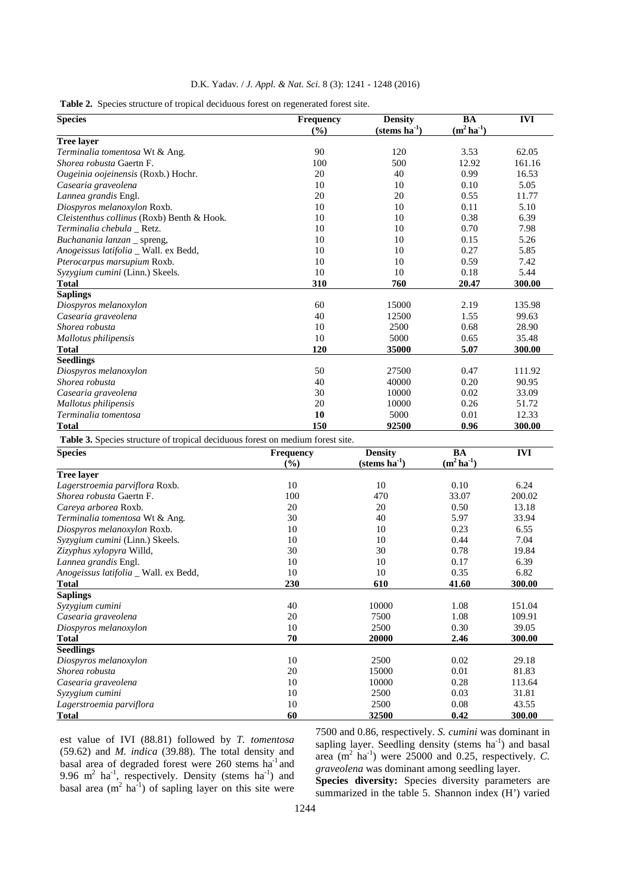|  |  |  |  |  |  |  | D.K. Yadav. / <i>J. Appl. &amp; Nat. Sci.</i> 8 (3): 1241 - 1248 (2016) |
|--|--|--|--|--|--|--|-------------------------------------------------------------------------|
|--|--|--|--|--|--|--|-------------------------------------------------------------------------|

| <b>Species</b>                                                                 | Frequency<br>(9/0)        | <b>Density</b><br>$(\text{stems ha}^{-1})$ | <b>BA</b><br>$(m^2 \, ha^{-1})$ | <b>IVI</b> |
|--------------------------------------------------------------------------------|---------------------------|--------------------------------------------|---------------------------------|------------|
| <b>Tree layer</b>                                                              |                           |                                            |                                 |            |
| Terminalia tomentosa Wt & Ang.                                                 | 90                        | 120                                        | 3.53                            | 62.05      |
| Shorea robusta Gaertn F.                                                       | 100                       | 500                                        | 12.92                           | 161.16     |
| Ougeinia oojeinensis (Roxb.) Hochr.                                            | 20                        | 40                                         | 0.99                            | 16.53      |
| Casearia graveolena                                                            | 10                        | 10                                         | 0.10                            | 5.05       |
| Lannea grandis Engl.                                                           | 20                        | 20                                         | 0.55                            | 11.77      |
| Diospyros melanoxylon Roxb.                                                    | 10                        | 10                                         | 0.11                            | 5.10       |
| Cleistenthus collinus (Roxb) Benth & Hook.                                     | 10                        | 10                                         | 0.38                            | 6.39       |
| Terminalia chebula Retz.                                                       | 10                        | 10                                         | 0.70                            | 7.98       |
| Buchanania lanzan _ spreng,                                                    | 10                        | 10                                         | 0.15                            | 5.26       |
| Anogeissus latifolia _ Wall. ex Bedd,                                          | 10                        | 10                                         | 0.27                            | 5.85       |
| Pterocarpus marsupium Roxb.                                                    | 10                        | 10                                         | 0.59                            | 7.42       |
| Syzygium cumini (Linn.) Skeels.                                                | 10                        | 10                                         | 0.18                            | 5.44       |
| <b>Total</b>                                                                   | 310                       | 760                                        | 20.47                           | 300.00     |
| <b>Saplings</b>                                                                |                           |                                            |                                 |            |
| Diospyros melanoxylon                                                          | 60                        | 15000                                      | 2.19                            | 135.98     |
| Casearia graveolena                                                            | 40                        | 12500                                      | 1.55                            | 99.63      |
| Shorea robusta                                                                 | 10                        | 2500                                       | 0.68                            | 28.90      |
| Mallotus philipensis                                                           | 10                        | 5000                                       | 0.65                            | 35.48      |
| <b>Total</b>                                                                   | 120                       | 35000                                      | 5.07                            | 300.00     |
| <b>Seedlings</b>                                                               |                           |                                            |                                 |            |
| Diospyros melanoxylon                                                          | 50                        | 27500                                      | 0.47                            | 111.92     |
| Shorea robusta                                                                 | 40                        | 40000                                      | 0.20                            | 90.95      |
| Casearia graveolena                                                            | 30                        | 10000                                      | 0.02                            | 33.09      |
| Mallotus philipensis                                                           | 20                        | 10000                                      | 0.26                            | 51.72      |
| Terminalia tomentosa                                                           | 10                        | 5000                                       | 0.01                            | 12.33      |
| <b>Total</b>                                                                   | 150                       | 92500                                      | 0.96                            | 300.00     |
| Table 3. Species structure of tropical deciduous forest on medium forest site. |                           |                                            |                                 |            |
| <b>Species</b>                                                                 | <b>Frequency</b><br>(9/0) | <b>Density</b><br>$(\text{stems ha}^{-1})$ | <b>BA</b><br>$(m^2 \, ha^{-1})$ | <b>IVI</b> |
| <b>Tree layer</b>                                                              |                           |                                            |                                 |            |
| Lagerstroemia parviflora Roxb.                                                 | 10                        | 10                                         | 0.10                            | 6.24       |

| Tree laver                            |     |       |       |        |
|---------------------------------------|-----|-------|-------|--------|
| Lagerstroemia parviflora Roxb.        | 10  | 10    | 0.10  | 6.24   |
| <i>Shorea robusta</i> Gaertn F.       | 100 | 470   | 33.07 | 200.02 |
| Careya arborea Roxb.                  | 20  | 20    | 0.50  | 13.18  |
| Terminalia tomentosa Wt & Ang.        | 30  | 40    | 5.97  | 33.94  |
| Diospyros melanoxylon Roxb.           | 10  | 10    | 0.23  | 6.55   |
| Syzygium cumini (Linn.) Skeels.       | 10  | 10    | 0.44  | 7.04   |
| Zizyphus xylopyra Willd,              | 30  | 30    | 0.78  | 19.84  |
| Lannea grandis Engl.                  | 10  | 10    | 0.17  | 6.39   |
| Anogeissus latifolia _ Wall. ex Bedd, | 10  | 10    | 0.35  | 6.82   |
| <b>Total</b>                          | 230 | 610   | 41.60 | 300.00 |
| <b>Saplings</b>                       |     |       |       |        |
| Syzygium cumini                       | 40  | 10000 | 1.08  | 151.04 |
| Casearia graveolena                   | 20  | 7500  | 1.08  | 109.91 |
| Diospyros melanoxylon                 | 10  | 2500  | 0.30  | 39.05  |
| <b>Total</b>                          | 70  | 20000 | 2.46  | 300.00 |
| <b>Seedlings</b>                      |     |       |       |        |
| Diospyros melanoxylon                 | 10  | 2500  | 0.02  | 29.18  |
| Shorea robusta                        | 20  | 15000 | 0.01  | 81.83  |
| Casearia graveolena                   | 10  | 10000 | 0.28  | 113.64 |
| Syzygium cumini                       | 10  | 2500  | 0.03  | 31.81  |
| Lagerstroemia parviflora              | 10  | 2500  | 0.08  | 43.55  |
| <b>Total</b>                          | 60  | 32500 | 0.42  | 300.00 |
|                                       |     |       |       |        |

est value of IVI (88.81) followed by *T. tomentosa* (59.62) and *M. indica* (39.88). The total density and basal area of degraded forest were 260 stems ha<sup>-1</sup> and 9.96  $m^2$  ha<sup>-1</sup>, respectively. Density (stems ha<sup>-1</sup>) and basal area  $(m^2 \text{ ha}^{-1})$  of sapling layer on this site were 7500 and 0.86, respectively. *S. cumini* was dominant in sapling layer. Seedling density (stems  $ha^{-1}$ ) and basal area  $(m^2 \text{ ha}^{-1})$  were 25000 and 0.25, respectively. C. *graveolena* was dominant among seedling layer.

**Species diversity:** Species diversity parameters are summarized in the table 5. Shannon index (H') varied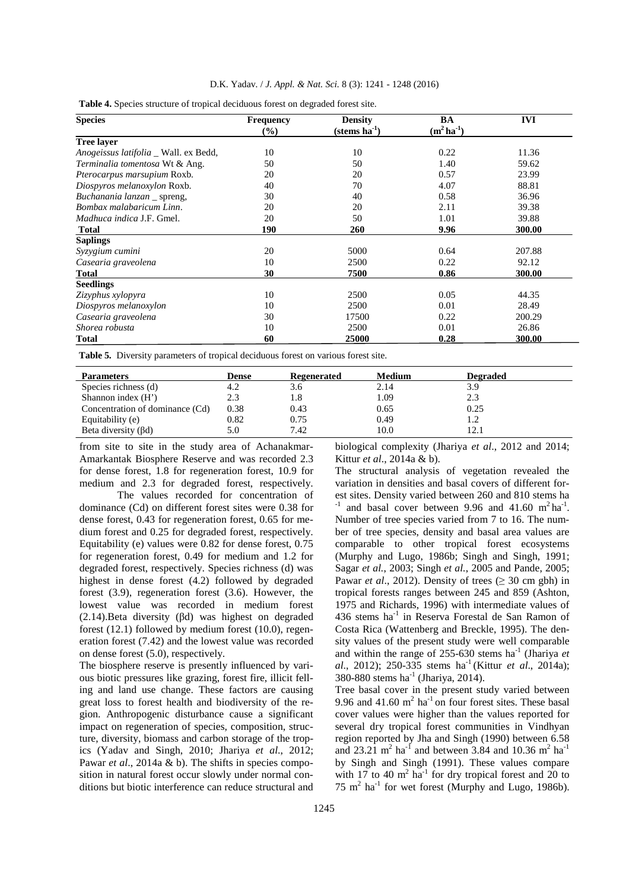| <b>Species</b>                               | <b>Frequency</b> | <b>Density</b>           | BA                 | <b>IVI</b> |
|----------------------------------------------|------------------|--------------------------|--------------------|------------|
|                                              | $(\%)$           | $(\text{stems ha}^{-1})$ | $(m^2 \, ha^{-1})$ |            |
| <b>Tree laver</b>                            |                  |                          |                    |            |
| <i>Anogeissus latifolia</i> _ Wall. ex Bedd, | 10               | 10                       | 0.22               | 11.36      |
| Terminalia tomentosa Wt & Ang.               | 50               | 50                       | 1.40               | 59.62      |
| Pterocarpus marsupium Roxb.                  | 20               | 20                       | 0.57               | 23.99      |
| Diospyros melanoxylon Roxb.                  | 40               | 70                       | 4.07               | 88.81      |
| Buchanania lanzan _ spreng,                  | 30               | 40                       | 0.58               | 36.96      |
| Bombax malabaricum Linn.                     | 20               | 20                       | 2.11               | 39.38      |
| <i>Madhuca indica J.F. Gmel.</i>             | 20               | 50                       | 1.01               | 39.88      |
| <b>Total</b>                                 | 190              | 260                      | 9.96               | 300.00     |
| <b>Saplings</b>                              |                  |                          |                    |            |
| Syzygium cumini                              | 20               | 5000                     | 0.64               | 207.88     |
| Casearia graveolena                          | 10               | 2500                     | 0.22               | 92.12      |
| <b>Total</b>                                 | 30               | 7500                     | 0.86               | 300.00     |
| <b>Seedlings</b>                             |                  |                          |                    |            |
| Zizyphus xylopyra                            | 10               | 2500                     | 0.05               | 44.35      |
| Diospyros melanoxylon                        | 10               | 2500                     | 0.01               | 28.49      |
| Casearia graveolena                          | 30               | 17500                    | 0.22               | 200.29     |
| Shorea robusta                               | 10               | 2500                     | 0.01               | 26.86      |
| Total                                        | 60               | 25000                    | 0.28               | 300.00     |

**Table 4.** Species structure of tropical deciduous forest on degraded forest site.

**Table 5***.* Diversity parameters of tropical deciduous forest on various forest site.

| <b>Parameters</b>               | Dense | Regenerated | Medium | <b>Degraded</b> |
|---------------------------------|-------|-------------|--------|-----------------|
| Species richness (d)            | 4.2   | 3.6         | 2.14   | 3.9             |
| Shannon index $(H')$            | 2.3   | 1.8         | 1.09   | 2.3             |
| Concentration of dominance (Cd) | 0.38  | 0.43        | 0.65   | 0.25            |
| Equitability (e)                | 0.82  | 0.75        | 0.49   |                 |
| Beta diversity $(\beta d)$      | 5.0   | 7.42        | 10.0   | 12.1            |

from site to site in the study area of Achanakmar-Amarkantak Biosphere Reserve and was recorded 2.3 for dense forest, 1.8 for regeneration forest, 10.9 for medium and 2.3 for degraded forest, respectively.

The values recorded for concentration of dominance (Cd) on different forest sites were 0.38 for dense forest, 0.43 for regeneration forest, 0.65 for medium forest and 0.25 for degraded forest, respectively. Equitability (e) values were 0.82 for dense forest, 0.75 for regeneration forest, 0.49 for medium and 1.2 for degraded forest, respectively. Species richness (d) was highest in dense forest (4.2) followed by degraded forest (3.9), regeneration forest (3.6). However, the lowest value was recorded in medium forest (2.14).Beta diversity (βd) was highest on degraded forest (12.1) followed by medium forest (10.0), regeneration forest (7.42) and the lowest value was recorded on dense forest (5.0), respectively.

The biosphere reserve is presently influenced by various biotic pressures like grazing, forest fire, illicit felling and land use change. These factors are causing great loss to forest health and biodiversity of the region. Anthropogenic disturbance cause a significant impact on regeneration of species, composition, structure, diversity, biomass and carbon storage of the tropics (Yadav and Singh, 2010; Jhariya *et al*., 2012; Pawar *et al.*, 2014a & b). The shifts in species composition in natural forest occur slowly under normal conditions but biotic interference can reduce structural and biological complexity (Jhariya *et al*., 2012 and 2014; Kittur *et al*., 2014a & b).

The structural analysis of vegetation revealed the variation in densities and basal covers of different forest sites. Density varied between 260 and 810 stems ha <sup>-1</sup> and basal cover between 9.96 and 41.60 m<sup>2</sup> ha<sup>-1</sup>. Number of tree species varied from 7 to 16. The number of tree species, density and basal area values are comparable to other tropical forest ecosystems (Murphy and Lugo, 1986b; Singh and Singh, 1991; Sagar *et al.*, 2003; Singh *et al.*, 2005 and Pande, 2005; Pawar *et al.*, 2012). Density of trees  $(≥ 30 \text{ cm gbh})$  in tropical forests ranges between 245 and 859 (Ashton, 1975 and Richards, 1996) with intermediate values of 436 stems ha<sup>-1</sup> in Reserva Forestal de San Ramon of Costa Rica (Wattenberg and Breckle, 1995). The density values of the present study were well comparable and within the range of  $255-630$  stems ha<sup>-1</sup> (Jhariya *et al.*, 2012); 250-335 stems ha<sup>-1</sup> (Kittur *et al.*, 2014a); 380-880 stems  $ha^{-1}$  (Jhariya, 2014).

Tree basal cover in the present study varied between 9.96 and  $41.60 \text{ m}^2$  ha<sup>-1</sup> on four forest sites. These basal cover values were higher than the values reported for several dry tropical forest communities in Vindhyan region reported by Jha and Singh (1990) between 6.58 and 23.21 m<sup>2</sup> ha<sup>-1</sup> and between 3.84 and 10.36 m<sup>2</sup> ha<sup>-1</sup> by Singh and Singh (1991). These values compare with 17 to 40  $m^2$  ha<sup>-1</sup> for dry tropical forest and 20 to  $75 \text{ m}^2$  ha<sup>-1</sup> for wet forest (Murphy and Lugo, 1986b).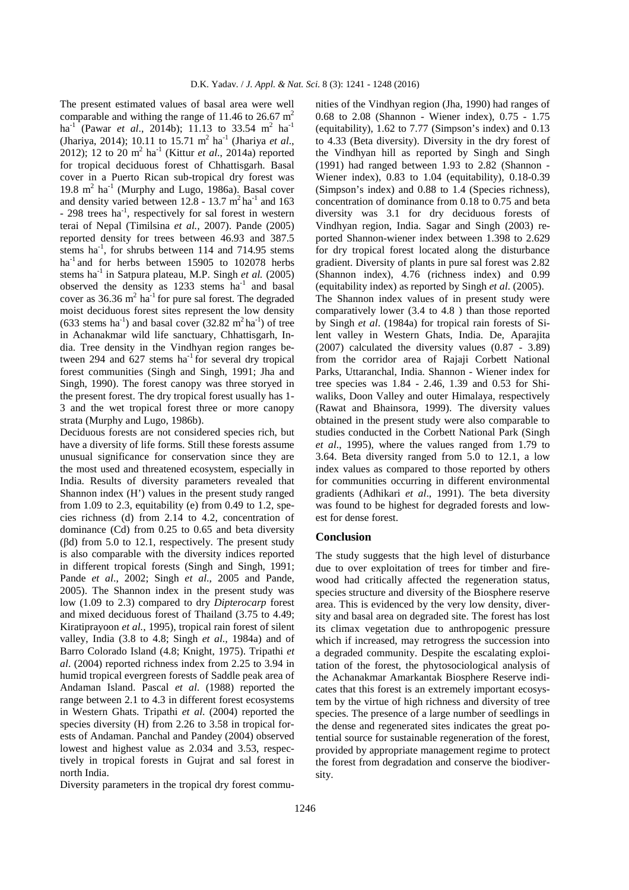The present estimated values of basal area were well comparable and withing the range of 11.46 to 26.67  $m<sup>2</sup>$ ha<sup>-1</sup> (Pawar *et al.*, 2014b); 11.13 to 33.54 m<sup>2</sup> ha<sup>-1</sup> (Jhariya, 2014); 10.11 to 15.71 m<sup>2</sup> ha<sup>-1</sup> (Jhariya *et al.*, 2012); 12 to 20 m<sup>2</sup> ha<sup>-1</sup> (Kittur *et al.*, 2014a) reported for tropical deciduous forest of Chhattisgarh. Basal cover in a Puerto Rican sub-tropical dry forest was 19.8 m<sup>2</sup> ha<sup>-1</sup> (Murphy and Lugo, 1986a). Basal cover and density varied between  $12.8 - 13.7$  m<sup>2</sup> ha<sup>-1</sup> and 163  $-$  298 trees ha<sup>-1</sup>, respectively for sal forest in western terai of Nepal (Timilsina *et al.,* 2007). Pande (2005) reported density for trees between 46.93 and 387.5 stems ha<sup>-1</sup>, for shrubs between 114 and 714.95 stems ha $^{-1}$  and for herbs between 15905 to 102078 herbs stems ha<sup>-1</sup> in Satpura plateau, M.P. Singh *et al.* (2005) observed the density as  $1233$  stems ha<sup>-1</sup> and basal cover as  $36.36 \text{ m}^2$  ha<sup>-1</sup> for pure sal forest. The degraded moist deciduous forest sites represent the low density  $(633 \text{ stems ha}^{-1})$  and basal cover  $(32.82 \text{ m}^2 \text{ ha}^{-1})$  of tree in Achanakmar wild life sanctuary, Chhattisgarh, India. Tree density in the Vindhyan region ranges between 294 and 627 stems  $ha^{-1}$  for several dry tropical forest communities (Singh and Singh, 1991; Jha and Singh, 1990). The forest canopy was three storyed in the present forest. The dry tropical forest usually has 1- 3 and the wet tropical forest three or more canopy strata (Murphy and Lugo, 1986b).

Deciduous forests are not considered species rich, but have a diversity of life forms. Still these forests assume unusual significance for conservation since they are the most used and threatened ecosystem, especially in India. Results of diversity parameters revealed that Shannon index (H') values in the present study ranged from 1.09 to 2.3, equitability (e) from 0.49 to 1.2, species richness (d) from 2.14 to 4.2, concentration of dominance (Cd) from 0.25 to 0.65 and beta diversity (βd) from 5.0 to 12.1, respectively. The present study is also comparable with the diversity indices reported in different tropical forests (Singh and Singh, 1991; Pande *et al*., 2002; Singh *et al*., 2005 and Pande, 2005). The Shannon index in the present study was low (1.09 to 2.3) compared to dry *Dipterocarp* forest and mixed deciduous forest of Thailand (3.75 to 4.49; Kiratiprayoon *et al.*, 1995), tropical rain forest of silent valley, India (3.8 to 4.8; Singh *et al*.*,* 1984a) and of Barro Colorado Island (4.8; Knight, 1975). Tripathi *et al*. (2004) reported richness index from 2.25 to 3.94 in humid tropical evergreen forests of Saddle peak area of Andaman Island. Pascal *et al*. (1988) reported the range between 2.1 to 4.3 in different forest ecosystems in Western Ghats. Tripathi *et al*. (2004) reported the species diversity (H) from 2.26 to 3.58 in tropical forests of Andaman. Panchal and Pandey (2004) observed lowest and highest value as 2.034 and 3.53, respectively in tropical forests in Gujrat and sal forest in north India.

Diversity parameters in the tropical dry forest commu-

nities of the Vindhyan region (Jha, 1990) had ranges of 0.68 to 2.08 (Shannon - Wiener index), 0.75 - 1.75 (equitability), 1.62 to 7.77 (Simpson's index) and 0.13 to 4.33 (Beta diversity). Diversity in the dry forest of the Vindhyan hill as reported by Singh and Singh (1991) had ranged between 1.93 to 2.82 (Shannon - Wiener index), 0.83 to 1.04 (equitability), 0.18-0.39 (Simpson's index) and 0.88 to 1.4 (Species richness), concentration of dominance from 0.18 to 0.75 and beta diversity was 3.1 for dry deciduous forests of Vindhyan region, India. Sagar and Singh (2003) reported Shannon-wiener index between 1.398 to 2.629 for dry tropical forest located along the disturbance gradient. Diversity of plants in pure sal forest was 2.82 (Shannon index), 4.76 (richness index) and 0.99 (equitability index) as reported by Singh *et al*. (2005). The Shannon index values of in present study were comparatively lower (3.4 to 4.8 ) than those reported by Singh *et al*. (1984a) for tropical rain forests of Silent valley in Western Ghats, India. De, Aparajita (2007) calculated the diversity values (0.87 - 3.89) from the corridor area of Rajaji Corbett National Parks, Uttaranchal, India. Shannon - Wiener index for tree species was 1.84 - 2.46, 1.39 and 0.53 for Shiwaliks, Doon Valley and outer Himalaya, respectively (Rawat and Bhainsora, 1999). The diversity values obtained in the present study were also comparable to studies conducted in the Corbett National Park (Singh *et al*., 1995), where the values ranged from 1.79 to 3.64. Beta diversity ranged from 5.0 to 12.1, a low index values as compared to those reported by others for communities occurring in different environmental gradients (Adhikari *et al*., 1991). The beta diversity was found to be highest for degraded forests and lowest for dense forest.

#### **Conclusion**

The study suggests that the high level of disturbance due to over exploitation of trees for timber and firewood had critically affected the regeneration status, species structure and diversity of the Biosphere reserve area. This is evidenced by the very low density, diversity and basal area on degraded site. The forest has lost its climax vegetation due to anthropogenic pressure which if increased, may retrogress the succession into a degraded community. Despite the escalating exploitation of the forest, the phytosociological analysis of the Achanakmar Amarkantak Biosphere Reserve indicates that this forest is an extremely important ecosystem by the virtue of high richness and diversity of tree species. The presence of a large number of seedlings in the dense and regenerated sites indicates the great potential source for sustainable regeneration of the forest, provided by appropriate management regime to protect the forest from degradation and conserve the biodiversity.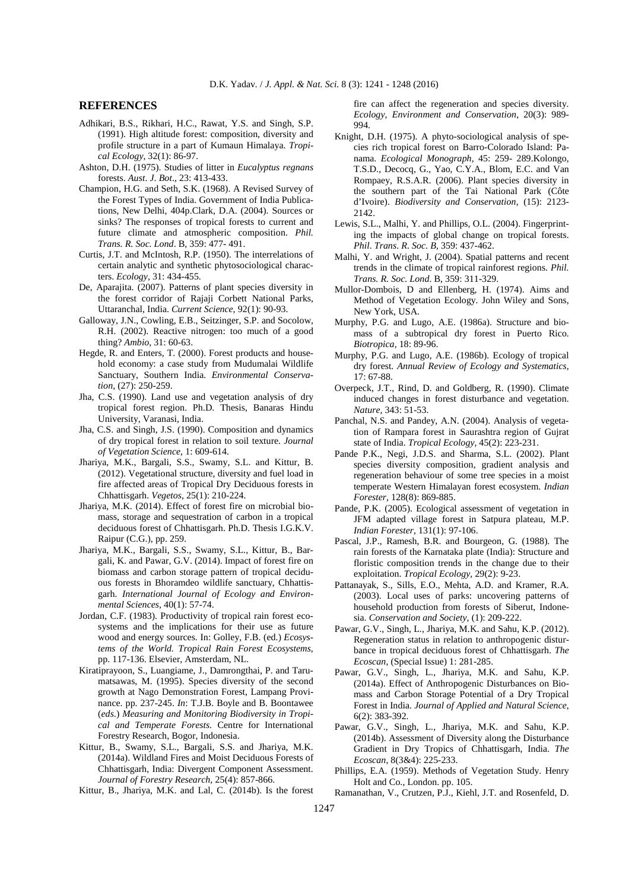#### **REFERENCES**

- Adhikari, B.S., Rikhari, H.C., Rawat, Y.S. and Singh, S.P. (1991). High altitude forest: composition, diversity and profile structure in a part of Kumaun Himalaya. *Tropical Ecology,* 32(1): 86-97.
- Ashton, D.H. (1975). Studies of litter in *Eucalyptus regnans* forests. *Aust*. *J*. *Bot*., 23: 413-433.
- Champion, H.G. and Seth, S.K. (1968). A Revised Survey of the Forest Types of India. Government of India Publications, New Delhi, 404p.Clark, D.A. (2004). Sources or sinks? The responses of tropical forests to current and future climate and atmospheric composition. *Phil. Trans. R. Soc. Lond*. B, 359: 477- 491.
- Curtis, J.T. and McIntosh, R.P. (1950). The interrelations of certain analytic and synthetic phytosociological characters. *Ecology,* 31: 434-455.
- De, Aparajita. (2007). Patterns of plant species diversity in the forest corridor of Rajaji Corbett National Parks, Uttaranchal, India. *Current Science,* 92(1): 90-93.
- Galloway, J.N., Cowling, E.B., Seitzinger, S.P. and Socolow, R.H. (2002). Reactive nitrogen: too much of a good thing? *Ambio,* 31: 60-63.
- Hegde, R. and Enters, T. (2000). Forest products and household economy: a case study from Mudumalai Wildlife Sanctuary, Southern India. *Environmental Conservation,* (27): 250-259.
- Jha, C.S. (1990). Land use and vegetation analysis of dry tropical forest region. Ph.D. Thesis, Banaras Hindu University, Varanasi, India.
- Jha, C.S. and Singh, J.S. (1990). Composition and dynamics of dry tropical forest in relation to soil texture. *Journal of Vegetation Science,* 1: 609-614.
- Jhariya, M.K., Bargali, S.S., Swamy, S.L. and Kittur, B. (2012). Vegetational structure, diversity and fuel load in fire affected areas of Tropical Dry Deciduous forests in Chhattisgarh. *Vegetos,* 25(1): 210-224.
- Jhariya, M.K. (2014). Effect of forest fire on microbial biomass, storage and sequestration of carbon in a tropical deciduous forest of Chhattisgarh. Ph.D. Thesis I.G.K.V. Raipur (C.G.), pp. 259.
- Jhariya, M.K., Bargali, S.S., Swamy, S.L., Kittur, B., Bargali, K. and Pawar, G.V. (2014). Impact of forest fire on biomass and carbon storage pattern of tropical deciduous forests in Bhoramdeo wildlife sanctuary, Chhattisgarh. *International Journal of Ecology and Environmental Sciences,* 40(1): 57-74.
- Jordan, C.F. (1983). Productivity of tropical rain forest ecosystems and the implications for their use as future wood and energy sources. In: Golley, F.B. (ed.) *Ecosystems of the World. Tropical Rain Forest Ecosystems*, pp. 117-136. Elsevier, Amsterdam, NL.
- Kiratiprayoon, S., Luangiame, J., Damrongthai, P. and Tarumatsawas, M. (1995). Species diversity of the second growth at Nago Demonstration Forest, Lampang Provinance. pp. 237-245. *In*: T.J.B. Boyle and B. Boontawee (*eds*.) *Measuring and Monitoring Biodiversity in Tropical and Temperate Forests.* Centre for International Forestry Research, Bogor, Indonesia.
- Kittur, B., Swamy, S.L., Bargali, S.S. and Jhariya, M.K. (2014a). Wildland Fires and Moist Deciduous Forests of Chhattisgarh, India: Divergent Component Assessment. *Journal of Forestry Research*, 25(4): 857-866.
- Kittur, B., Jhariya, M.K. and Lal, C. (2014b). Is the forest

fire can affect the regeneration and species diversity. *Ecology, Environment and Conservation*, 20(3): 989- 994.

- Knight, D.H. (1975). A phyto-sociological analysis of species rich tropical forest on Barro-Colorado Island: Panama. *Ecological Monograph,* 45: 259- 289.Kolongo, T.S.D., Decocq, G., Yao, C.Y.A., Blom, E.C. and Van Rompaey, R.S.A.R. (2006). Plant species diversity in the southern part of the Tai National Park (Côte d'Ivoire). *Biodiversity and Conservation,* (15): 2123- 2142.
- Lewis, S.L., Malhi, Y. and Phillips, O.L. (2004). Fingerprinting the impacts of global change on tropical forests. *Phil*. *Trans*. *R*. *Soc*. *B,* 359: 437-462.
- Malhi, Y. and Wright, J. (2004). Spatial patterns and recent trends in the climate of tropical rainforest regions. *Phil. Trans. R. Soc. Lond*. B, 359: 311-329.
- Mullor-Dombois, D and Ellenberg, H. (1974). Aims and Method of Vegetation Ecology. John Wiley and Sons, New York, USA.
- Murphy, P.G. and Lugo, A.E. (1986a). Structure and biomass of a subtropical dry forest in Puerto Rico. *Biotropica,* 18: 89-96.
- Murphy, P.G. and Lugo, A.E. (1986b). Ecology of tropical dry forest. *Annual Review of Ecology and Systematics,* 17: 67-88.
- Overpeck, J.T., Rind, D. and Goldberg, R. (1990). Climate induced changes in forest disturbance and vegetation. *Nature,* 343: 51-53.
- Panchal, N.S. and Pandey, A.N. (2004). Analysis of vegetation of Rampara forest in Saurashtra region of Gujrat state of India. *Tropical Ecology,* 45(2): 223-231.
- Pande P.K., Negi, J.D.S. and Sharma, S.L. (2002). Plant species diversity composition, gradient analysis and regeneration behaviour of some tree species in a moist temperate Western Himalayan forest ecosystem. *Indian Forester,* 128(8): 869-885.
- Pande, P.K. (2005). Ecological assessment of vegetation in JFM adapted village forest in Satpura plateau, M.P. *Indian Forester,* 131(1): 97-106.
- Pascal, J.P., Ramesh, B.R. and Bourgeon, G. (1988). The rain forests of the Karnataka plate (India): Structure and floristic composition trends in the change due to their exploitation. *Tropical Ecology,* 29(2): 9-23.
- Pattanayak, S., Sills, E.O., Mehta, A.D. and Kramer, R.A. (2003). Local uses of parks: uncovering patterns of household production from forests of Siberut, Indonesia. *Conservation and Society,* (1): 209-222.
- Pawar, G.V., Singh, L., Jhariya, M.K. and Sahu, K.P. (2012). Regeneration status in relation to anthropogenic disturbance in tropical deciduous forest of Chhattisgarh. *The Ecoscan*, (Special Issue) 1: 281-285.
- Pawar, G.V., Singh, L., Jhariya, M.K. and Sahu, K.P. (2014a). Effect of Anthropogenic Disturbances on Biomass and Carbon Storage Potential of a Dry Tropical Forest in India. *Journal of Applied and Natural Science*, 6(2): 383-392.
- Pawar, G.V., Singh, L., Jhariya, M.K. and Sahu, K.P. (2014b). Assessment of Diversity along the Disturbance Gradient in Dry Tropics of Chhattisgarh, India. *The Ecoscan*, 8(3&4): 225-233.
- Phillips, E.A. (1959). Methods of Vegetation Study. Henry Holt and Co., London. pp. 105.
- Ramanathan, V., Crutzen, P.J., Kiehl, J.T. and Rosenfeld, D.